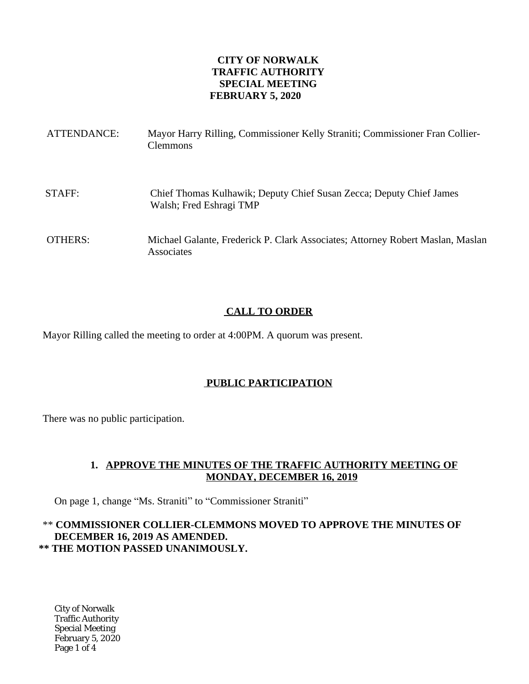### **CITY OF NORWALK TRAFFIC AUTHORITY SPECIAL MEETING FEBRUARY 5, 2020**

| ATTENDANCE:    | Mayor Harry Rilling, Commissioner Kelly Straniti; Commissioner Fran Collier-<br><b>Clemmons</b> |
|----------------|-------------------------------------------------------------------------------------------------|
| STAFF:         | Chief Thomas Kulhawik; Deputy Chief Susan Zecca; Deputy Chief James<br>Walsh; Fred Eshragi TMP  |
| <b>OTHERS:</b> | Michael Galante, Frederick P. Clark Associates; Attorney Robert Maslan, Maslan<br>Associates    |

# **CALL TO ORDER**

Mayor Rilling called the meeting to order at 4:00PM. A quorum was present.

## **PUBLIC PARTICIPATION**

There was no public participation.

## **1. APPROVE THE MINUTES OF THE TRAFFIC AUTHORITY MEETING OF MONDAY, DECEMBER 16, 2019**

On page 1, change "Ms. Straniti" to "Commissioner Straniti"

# \*\* **COMMISSIONER COLLIER-CLEMMONS MOVED TO APPROVE THE MINUTES OF DECEMBER 16, 2019 AS AMENDED. \*\* THE MOTION PASSED UNANIMOUSLY.**

City of Norwalk Traffic Authority Special Meeting February 5, 2020 Page 1 of 4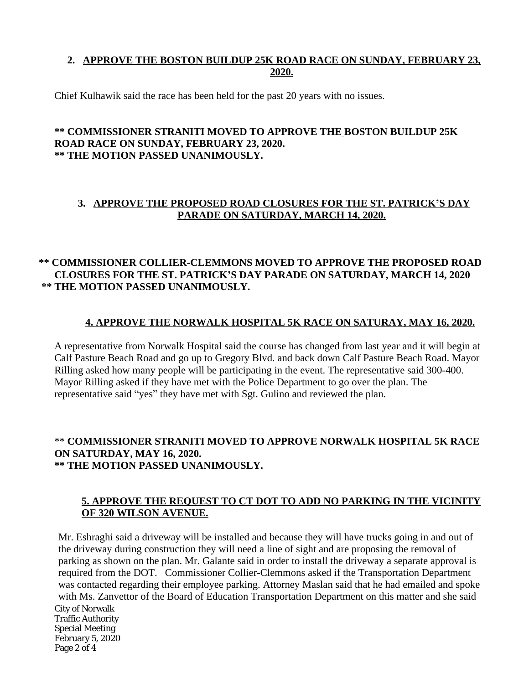# **2. APPROVE THE BOSTON BUILDUP 25K ROAD RACE ON SUNDAY, FEBRUARY 23, 2020.**

Chief Kulhawik said the race has been held for the past 20 years with no issues.

#### **\*\* COMMISSIONER STRANITI MOVED TO APPROVE THE BOSTON BUILDUP 25K ROAD RACE ON SUNDAY, FEBRUARY 23, 2020. \*\* THE MOTION PASSED UNANIMOUSLY.**

### **3. APPROVE THE PROPOSED ROAD CLOSURES FOR THE ST. PATRICK'S DAY PARADE ON SATURDAY, MARCH 14, 2020.**

# **\*\* COMMISSIONER COLLIER-CLEMMONS MOVED TO APPROVE THE PROPOSED ROAD CLOSURES FOR THE ST. PATRICK'S DAY PARADE ON SATURDAY, MARCH 14, 2020 \*\* THE MOTION PASSED UNANIMOUSLY.**

### **4. APPROVE THE NORWALK HOSPITAL 5K RACE ON SATURAY, MAY 16, 2020.**

A representative from Norwalk Hospital said the course has changed from last year and it will begin at Calf Pasture Beach Road and go up to Gregory Blvd. and back down Calf Pasture Beach Road. Mayor Rilling asked how many people will be participating in the event. The representative said 300-400. Mayor Rilling asked if they have met with the Police Department to go over the plan. The representative said "yes" they have met with Sgt. Gulino and reviewed the plan.

#### \*\* **COMMISSIONER STRANITI MOVED TO APPROVE NORWALK HOSPITAL 5K RACE ON SATURDAY, MAY 16, 2020. \*\* THE MOTION PASSED UNANIMOUSLY.**

## **5. APPROVE THE REQUEST TO CT DOT TO ADD NO PARKING IN THE VICINITY OF 320 WILSON AVENUE.**

City of Norwalk Traffic Authority Special Meeting February 5, 2020 Page 2 of 4 Mr. Eshraghi said a driveway will be installed and because they will have trucks going in and out of the driveway during construction they will need a line of sight and are proposing the removal of parking as shown on the plan. Mr. Galante said in order to install the driveway a separate approval is required from the DOT. Commissioner Collier-Clemmons asked if the Transportation Department was contacted regarding their employee parking. Attorney Maslan said that he had emailed and spoke with Ms. Zanvettor of the Board of Education Transportation Department on this matter and she said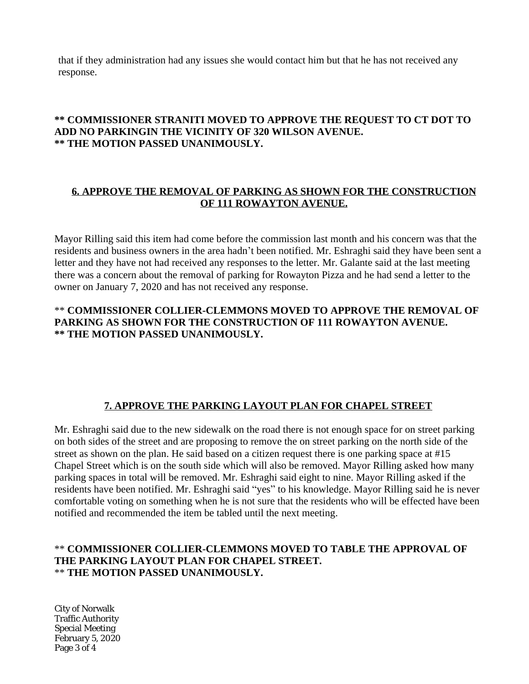that if they administration had any issues she would contact him but that he has not received any response.

# **\*\* COMMISSIONER STRANITI MOVED TO APPROVE THE REQUEST TO CT DOT TO ADD NO PARKINGIN THE VICINITY OF 320 WILSON AVENUE. \*\* THE MOTION PASSED UNANIMOUSLY.**

### **6. APPROVE THE REMOVAL OF PARKING AS SHOWN FOR THE CONSTRUCTION OF 111 ROWAYTON AVENUE.**

Mayor Rilling said this item had come before the commission last month and his concern was that the residents and business owners in the area hadn't been notified. Mr. Eshraghi said they have been sent a letter and they have not had received any responses to the letter. Mr. Galante said at the last meeting there was a concern about the removal of parking for Rowayton Pizza and he had send a letter to the owner on January 7, 2020 and has not received any response.

### \*\* **COMMISSIONER COLLIER-CLEMMONS MOVED TO APPROVE THE REMOVAL OF PARKING AS SHOWN FOR THE CONSTRUCTION OF 111 ROWAYTON AVENUE. \*\* THE MOTION PASSED UNANIMOUSLY.**

## **7. APPROVE THE PARKING LAYOUT PLAN FOR CHAPEL STREET**

Mr. Eshraghi said due to the new sidewalk on the road there is not enough space for on street parking on both sides of the street and are proposing to remove the on street parking on the north side of the street as shown on the plan. He said based on a citizen request there is one parking space at #15 Chapel Street which is on the south side which will also be removed. Mayor Rilling asked how many parking spaces in total will be removed. Mr. Eshraghi said eight to nine. Mayor Rilling asked if the residents have been notified. Mr. Eshraghi said "yes" to his knowledge. Mayor Rilling said he is never comfortable voting on something when he is not sure that the residents who will be effected have been notified and recommended the item be tabled until the next meeting.

### \*\* **COMMISSIONER COLLIER-CLEMMONS MOVED TO TABLE THE APPROVAL OF THE PARKING LAYOUT PLAN FOR CHAPEL STREET.** \*\* **THE MOTION PASSED UNANIMOUSLY.**

City of Norwalk Traffic Authority Special Meeting February 5, 2020 Page 3 of 4